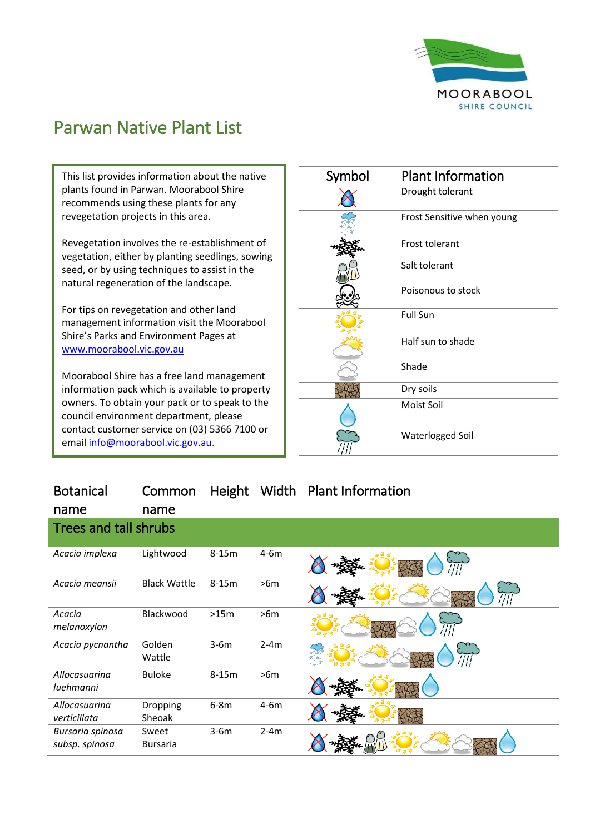

## Parwan Native Plant List

This list provides information about the native plants found in Parwan. Moorabool Shire recommends using these plants for any revegetation projects in this area.

Revegetation involves the re-establishment of vegetation, either by planting seedlings, sowing seed, or by using techniques to assist in the natural regeneration of the landscape.

For tips on revegetation and other land management information visit the Moorabool Shire's Parks and Environment Pages at [www.moorabool.vic.gov.au](http://www.moorabool.vic.gov.au/)

Moorabool Shire has a free land management information pack which is available to property owners. To obtain your pack or to speak to the council environment department, please contact customer service on (03) 5366 7100 or emai[l info@moorabool.vic.gov.au.](mailto:info@moorabool.vic.gov.au)

| Symbol | <b>Plant Information</b>   |
|--------|----------------------------|
|        | Drought tolerant           |
|        | Frost Sensitive when young |
|        | Frost tolerant             |
|        | Salt tolerant              |
|        | Poisonous to stock         |
|        | <b>Full Sun</b>            |
|        | Half sun to shade          |
|        | Shade                      |
|        | Dry soils                  |
|        | Moist Soil                 |
|        | Waterlogged Soil           |

## Botanical Common Height Width Plant Information

| name                               | name                     |         |        |      |
|------------------------------------|--------------------------|---------|--------|------|
| <b>Trees and tall shrubs</b>       |                          |         |        |      |
| Acacia implexa                     | Lightwood                | $8-15m$ | $4-6m$ | ŦП   |
| Acacia meansii                     | <b>Black Wattle</b>      | $8-15m$ | >6m    | '/'/ |
| Acacia<br>melanoxylon              | Blackwood                | >15m    | >6m    | 47,  |
| Acacia pycnantha                   | Golden<br>Wattle         | $3-6m$  | $2-4m$ | //// |
| Allocasuarina<br>luehmanni         | <b>Buloke</b>            | $8-15m$ | >6m    |      |
| Allocasuarina<br>verticillata      | Dropping<br>Sheoak       | $6-8m$  | $4-6m$ |      |
| Bursaria spinosa<br>subsp. spinosa | Sweet<br><b>Bursaria</b> | $3-6m$  | $2-4m$ |      |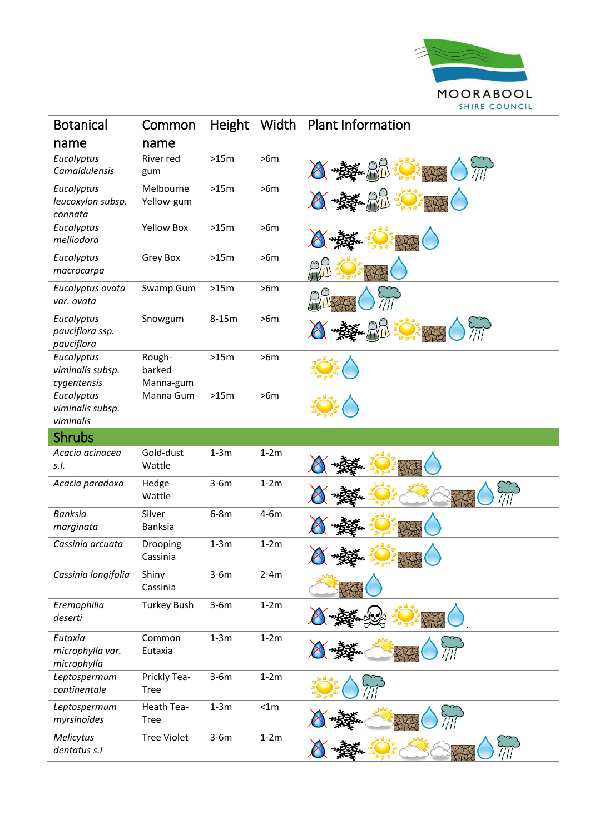

| <b>Botanical</b>                              | Common                        | <b>Height</b> |        | Width Plant Information |
|-----------------------------------------------|-------------------------------|---------------|--------|-------------------------|
| name                                          | name                          |               |        |                         |
| Eucalyptus<br>Camaldulensis                   | River red<br>gum              | >15m          | >6m    |                         |
| Eucalyptus<br>leucoxylon subsp.<br>connata    | Melbourne<br>Yellow-gum       | >15m          | >6m    |                         |
| Eucalyptus<br>melliodora                      | <b>Yellow Box</b>             | >15m          | >6m    |                         |
| Eucalyptus<br>macrocarpa                      | Grey Box                      | >15m          | >6m    |                         |
| Eucalyptus ovata<br>var. ovata                | Swamp Gum                     | >15m          | >6m    |                         |
| Eucalyptus<br>pauciflora ssp.<br>pauciflora   | Snowgum                       | $8-15m$       | >6m    |                         |
| Eucalyptus<br>viminalis subsp.<br>cygentensis | Rough-<br>barked<br>Manna-gum | >15m          | >6m    |                         |
| Eucalyptus<br>viminalis subsp.<br>viminalis   | Manna Gum                     | >15m          | >6m    |                         |
| <b>Shrubs</b>                                 |                               |               |        |                         |
| Acacia acinacea<br>S.I.                       | Gold-dust<br>Wattle           | $1-3m$        | $1-2m$ |                         |
| Acacia paradoxa                               | Hedge<br>Wattle               | $3-6m$        | $1-2m$ |                         |
| <b>Banksia</b><br>marginata                   | Silver<br><b>Banksia</b>      | $6-8m$        | $4-6m$ |                         |
| Cassinia arcuata                              | Drooping<br>Cassinia          | $1-3m$        | $1-2m$ | ₩<br>大快                 |
| Cassinia longifolia                           | Shiny<br>Cassinia             | $3-6m$        | $2-4m$ |                         |
| Eremophilia<br>deserti                        | <b>Turkey Bush</b>            | $3-6m$        | $1-2m$ |                         |
| Eutaxia<br>microphylla var.<br>microphylla    | Common<br>Eutaxia             | $1-3m$        | $1-2m$ |                         |
| Leptospermum<br>continentale                  | Prickly Tea-<br><b>Tree</b>   | $3-6m$        | $1-2m$ |                         |
| Leptospermum<br>myrsinoides                   | Heath Tea-<br><b>Tree</b>     | $1-3m$        | < 1m   |                         |
| Melicytus<br>dentatus s.I                     | <b>Tree Violet</b>            | $3-6m$        | $1-2m$ |                         |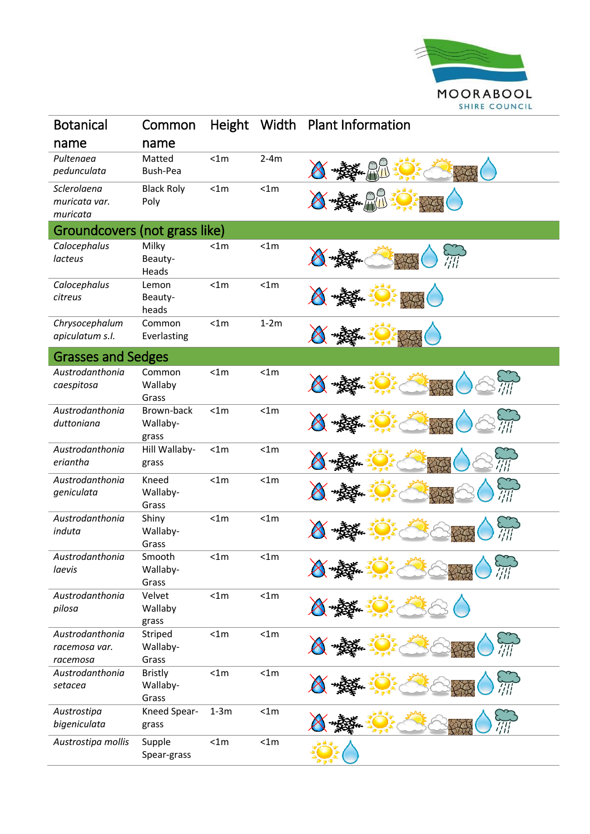

| <b>Botanical</b>                             | Common                              | Height | Width  | <b>Plant Information</b> |
|----------------------------------------------|-------------------------------------|--------|--------|--------------------------|
| name                                         | name                                |        |        |                          |
| Pultenaea<br>pedunculata                     | Matted<br>Bush-Pea                  | < 1m   | $2-4m$ |                          |
| Sclerolaena<br>muricata var.<br>muricata     | <b>Black Roly</b><br>Poly           | < 1m   | < 1m   |                          |
| Groundcovers (not grass like)                |                                     |        |        |                          |
| Calocephalus<br>lacteus                      | Milky<br>Beauty-<br>Heads           | < 1m   | < 1m   | $\widetilde{III}$        |
| Calocephalus<br>citreus                      | Lemon<br>Beauty-<br>heads           | < 1m   | < 1m   |                          |
| Chrysocephalum<br>apiculatum s.l.            | Common<br>Everlasting               | < 1m   | $1-2m$ |                          |
| <b>Grasses and Sedges</b>                    |                                     |        |        |                          |
| Austrodanthonia<br>caespitosa                | Common<br>Wallaby<br>Grass          | < 1m   | < 1m   |                          |
| Austrodanthonia<br>duttoniana                | Brown-back<br>Wallaby-<br>grass     | < 1m   | < 1m   |                          |
| Austrodanthonia<br>eriantha                  | Hill Wallaby-<br>grass              | < 1m   | < 1m   |                          |
| Austrodanthonia<br>geniculata                | Kneed<br>Wallaby-<br>Grass          | < 1m   | < 1m   |                          |
| Austrodanthonia<br>induta                    | Shiny<br>Wallaby-<br>Grass          | < 1m   | < 1m   |                          |
| Austrodanthonia<br>laevis                    | Smooth<br>Wallaby-<br>Grass         | < 1m   | < 1m   | $\sim$ 4 $\sim$<br>AA    |
| Austrodanthonia<br>pilosa                    | Velvet<br>Wallaby<br>grass          | < 1m   | < 1m   |                          |
| Austrodanthonia<br>racemosa var.<br>racemosa | Striped<br>Wallaby-<br>Grass        | < 1m   | < 1m   |                          |
| Austrodanthonia<br>setacea                   | <b>Bristly</b><br>Wallaby-<br>Grass | < 1m   | < 1m   |                          |
| Austrostipa<br>bigeniculata                  | Kneed Spear-<br>grass               | $1-3m$ | < 1m   |                          |
| Austrostipa mollis                           | Supple<br>Spear-grass               | < 1m   | < 1m   |                          |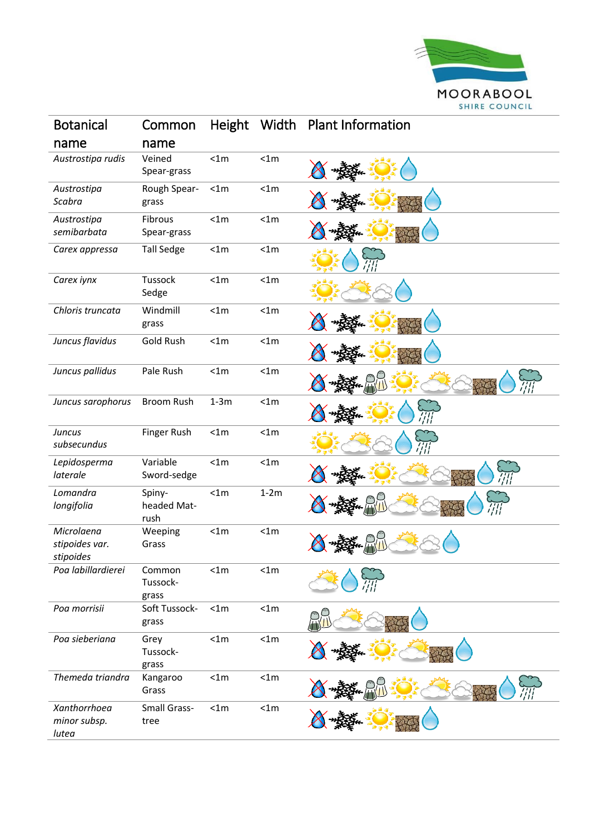

| <b>Botanical</b>                          | Common                        | <b>Height</b> | Width  | <b>Plant Information</b> |
|-------------------------------------------|-------------------------------|---------------|--------|--------------------------|
| name                                      | name                          |               |        |                          |
| Austrostipa rudis                         | Veined<br>Spear-grass         | < 1m          | < 1m   |                          |
| Austrostipa<br>Scabra                     | Rough Spear-<br>grass         | < 1m          | < 1m   |                          |
| Austrostipa<br>semibarbata                | Fibrous<br>Spear-grass        | < 1m          | < 1m   |                          |
| Carex appressa                            | <b>Tall Sedge</b>             | < 1m          | < 1m   |                          |
| Carex iynx                                | Tussock<br>Sedge              | < 1m          | < 1m   |                          |
| Chloris truncata                          | Windmill<br>grass             | < 1m          | < 1m   |                          |
| Juncus flavidus                           | Gold Rush                     | < 1m          | < 1m   |                          |
| Juncus pallidus                           | Pale Rush                     | < 1m          | < 1m   |                          |
| Juncus sarophorus                         | <b>Broom Rush</b>             | $1-3m$        | < 1m   |                          |
| <b>Juncus</b><br>subsecundus              | Finger Rush                   | < 1m          | < 1m   |                          |
| Lepidosperma<br>laterale                  | Variable<br>Sword-sedge       | < 1m          | < 1m   |                          |
| Lomandra<br>longifolia                    | Spiny-<br>headed Mat-<br>rush | < 1m          | $1-2m$ |                          |
| Microlaena<br>stipoides var.<br>stipoides | Weeping<br>Grass              | < 1m          | < 1m   |                          |
| Poa labillardierei                        | Common<br>Tussock-<br>grass   | < 1m          | < 1m   |                          |
| Poa morrisii                              | Soft Tussock-<br>grass        | < 1m          | < 1m   |                          |
| Poa sieberiana                            | Grey<br>Tussock-<br>grass     | < 1m          | < 1m   |                          |
| Themeda triandra                          | Kangaroo<br>Grass             | < 1m          | < 1m   |                          |
| Xanthorrhoea<br>minor subsp.<br>lutea     | <b>Small Grass-</b><br>tree   | < 1m          | < 1m   |                          |